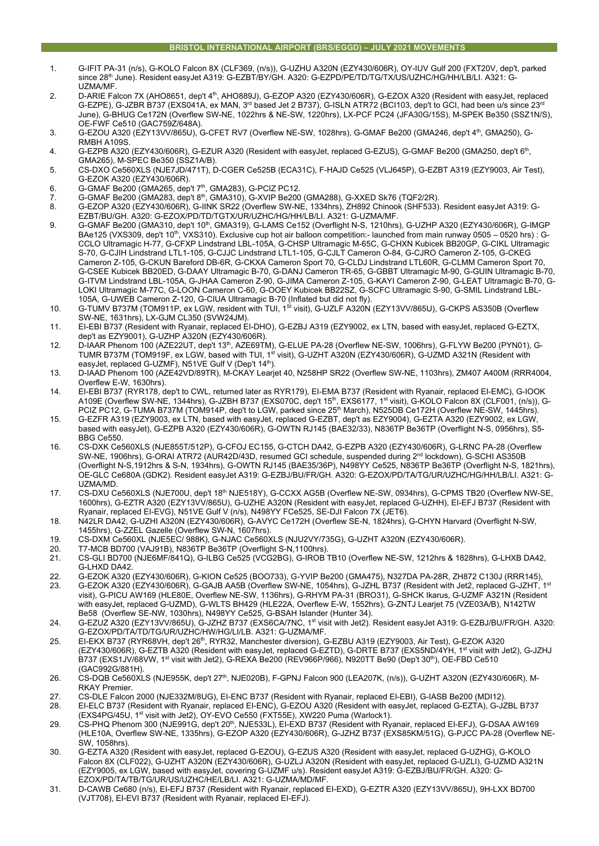- 1. G-IFIT PA-31 (n/s), G-KOLO Falcon 8X (CLF369, (n/s)), G-UZHU A320N (EZY430/606R), OY-IUV Gulf 200 (FXT20V, dep't, parked since 28th June). Resident easyJet A319: G-EZBT/BY/GH. A320: G-EZPD/PE/TD/TG/TX/US/UZHC/HG/HH/LB/LI. A321: G-UZMA/MF.
- 2. D-ARIE Falcon 7X (AHO8651, dep't 4<sup>th</sup>, AHO889J), G-EZOP A320 (EZY430/606R), G-EZOX A320 (Resident with easyJet, replaced G-EZPE), G-JZBR B737 (EXS041A, ex MAN,  $3^{rd}$  based Jet 2 B737), G-ISLN ATR72 (BCI103, dep't to GCI, had been u/s since 23<sup>rd</sup> June), G-BHUG Ce172N (Overflew SW-NE, 1022hrs & NE-SW, 1220hrs), LX-PCF PC24 (JFA30G/15S), M-SPEK Be350 (SSZ1N/S), OE-FWF Ce510 (GAC759Z/648A).
- 3. G-EZOU A320 (EZY13VV/865U), G-CFET RV7 (Overflew NE-SW, 1028hrs), G-GMAF Be200 (GMA246, dep't 4th, GMA250), G-RMBH A109S.
- 4. G-EZPB A320 (EZY430/606R), G-EZUR A320 (Resident with easyJet, replaced G-EZUS), G-GMAF Be200 (GMA250, dep't 6th, GMA265), M-SPEC Be350 (SSZ1A/B).
- 5. CS-DXO Ce560XLS (NJE7JD/471T), D-CGER Ce525B (ECA31C), F-HAJD Ce525 (VLJ645P), G-EZBT A319 (EZY9003, Air Test), G-EZOK A320 (EZY430/606R).
- 6. G-GMAF Be200 (GMA265, dep't  $7<sup>th</sup>$ , GMA283), G-PCIZ PC12.
- 7. G-GMAF Be200 (GMA283, dep't 8th, GMA310), G-XVIP Be200 (GMA288), G-XXED Sk76 (TQF2/2R).
- 8. G-EZOP A320 (EZY430/606R), G-IINK SR22 (Overflew SW-NE, 1334hrs), ZH892 Chinook (SHF533). Resident easyJet A319: G-EZBT/BU/GH. A320: G-EZOX/PD/TD/TGTX/UR/UZHC/HG/HH/LB/LI. A321: G-UZMA/MF.
- 9. G-GMAF Be200 (GMA310, dep't 10<sup>th</sup>, GMA319), G-LAMS Ce152 (Overflight N-S, 1210hrs), G-UZHP A320 (EZY430/606R), G-IMGP BAe125 (VXS309, dep't 10<sup>th</sup>, VXS310). Exclusive cup hot air balloon competition:- launched from main runway 0505 – 0520 hrs) : G-CCLO Ultramagic H-77, G-CFXP Lindstrand LBL-105A, G-CHSP Ultramagic M-65C, G-CHXN Kubicek BB20GP, G-CIKL Ultramagic S-70, G-CJIH Lindstrand LTL1-105, G-CJJC Lindstrand LTL1-105, G-CJLT Cameron O-84, G-CJRO Cameron Z-105, G-CKEG Cameron Z-105, G-CKUN Bareford DB-6R, G-CKXA Cameron Sport 70, G-CLDJ Lindstrand LTL60R, G-CLMM Cameron Sport 70, G-CSEE Kubicek BB20ED, G-DAAY Ultramagic B-70, G-DANJ Cameron TR-65, G-GBBT Ultramagic M-90, G-GUIN Ultramagic B-70, G-ITVM Lindstrand LBL-105A, G-JHAA Cameron Z-90, G-JIMA Cameron Z-105, G-KAYI Cameron Z-90, G-LEAT Ultramagic B-70, G-LOKI Ultramagic M-77C, G-LOON Cameron C-60, G-OOEY Kubicek BB22SZ, G-SCFC Ultramagic S-90, G-SMIL Lindstrand LBL-105A, G-UWEB Cameron Z-120, G-CIUA Ultramagic B-70 (Inflated but did not fly).
- 10. G-TUMV B737M (TOM911P, ex LGW, resident with TUI, 1<sup>st</sup> visit), G-UZLF A320N (EZY13VV/865U), G-CKPS AS350B (Overflew SW-NE, 1631hrs), LX-GJM CL350 (SVW24JM).
- 11. EI-EBI B737 (Resident with Ryanair, replaced EI-DHO), G-EZBJ A319 (EZY9002, ex LTN, based with easyJet, replaced G-EZTX, dep't as EZY9001), G-UZHP A320N (EZY430/606R).
- 12. D-IAAR Phenom 100 (AZE22UT, dep't 13<sup>th</sup>, AZE69TM), G-ELUE PA-28 (Overflew NE-SW, 1006hrs), G-FLYW Be200 (PYN01), G-TUMR B737M (TOM919F, ex LGW, based with TUI, 1st visit), G-UZHT A320N (EZY430/606R), G-UZMD A321N (Resident with easyJet, replaced G-UZMF), N51VE Gulf V (Dep't 14<sup>th</sup>).
- 13. D-IAAD Phenom 100 (AZE42VD/89TR), M-CKAY Learjet 40, N258HP SR22 (Overflew SW-NE, 1103hrs), ZM407 A400M (RRR4004, Overflew E-W, 1630hrs).
- 14. EI-EBI B737 (RYR178, dep't to CWL, returned later as RYR179), EI-EMA B737 (Resident with Ryanair, replaced EI-EMC), G-IOOK A109E (Overflew SW-NE, 1344hrs), G-JZBH B737 (EXS070C, dep't 15<sup>th</sup>, EXS6177, 1<sup>st</sup> visit), G-KOLO Falcon 8X (CLF001, (n/s)), G-PCIZ PC12, G-TUMA B737M (TOM914P, dep't to LGW, parked since 25<sup>th</sup> March), N525DB Ce172H (Overflew NE-SW, 1445hrs).
- 15. G-EZFR A319 (EZY9003, ex LTN, based with easyJet, replaced G-EZBT, dep't as EZY9004), G-EZTA A320 (EZY9002, ex LGW, based with easyJet), G-EZPB A320 (EZY430/606R), G-OWTN RJ145 (BAE32/33), N836TP Be36TP (Overflight N-S, 0956hrs), S5- BBG Ce550.
- 16. CS-DXK Ce560XLS (NJE855T/512P), G-CFOJ EC155, G-CTCH DA42, G-EZPB A320 (EZY430/606R), G-LRNC PA-28 (Overflew SW-NE, 1906hrs), G-ORAI ATR72 (AUR42D/43D, resumed GCI schedule, suspended during 2nd lockdown), G-SCHI AS350B (Overflight N-S,1912hrs & S-N, 1934hrs), G-OWTN RJ145 (BAE35/36P), N498YY Ce525, N836TP Be36TP (Overflight N-S, 1821hrs), OE-GLC Ce680A (GDK2). Resident easyJet A319: G-EZBJ/BU/FR/GH. A320: G-EZOX/PD/TA/TG/UR/UZHC/HG/HH/LB/LI. A321: G-UZMA/MD.
- 17. CS-DXU Ce560XLS (NJE700U, dep't 18<sup>th</sup> NJE518Y), G-CCXX AG5B (Overflew NE-SW, 0934hrs), G-CPMS TB20 (Overflew NW-SE, 1600hrs), G-EZTR A320 (EZY13VV/865U), G-UZHE A320N (Resident with easyJet, replaced G-UZHH), EI-EFJ B737 (Resident with Ryanair, replaced EI-EVG), N51VE Gulf V (n/s), N498YY FCe525, SE-DJI Falcon 7X (JET6).
- 18. N42LR DA42, G-UZHI A320N (EZY430/606R), G-AVYC Ce172H (Overflew SE-N, 1824hrs), G-CHYN Harvard (Overflight N-SW, 1455hrs), G-ZZEL Gazelle (Overflew SW-N, 1607hrs).
- 19. CS-DXM Ce560XL (NJE5EC/ 988K), G-NJAC Ce560XLS (NJU2VY/735G), G-UZHT A320N (EZY430/606R).
- 20. T7-MCB BD700 (VAJ91B), N836TP Be36TP (Overflight S-N,1100hrs).
- 21. CS-GLI BD700 (NJE6MF/841Q), G-ILBG Ce525 (VCG2BG), G-IROB TB10 (Overflew NE-SW, 1212hrs & 1828hrs), G-LHXB DA42, G-LHXD DA42.
- 22. G-EZOK A320 (EZY430/606R), G-KION Ce525 (BOO733), G-YVIP Be200 (GMA475), N327DA PA-28R, ZH872 C130J (RRR145),
- 23. G-EZOK A320 (EZY430/606R), G-GAJB AA5B (Overflew SW-NE, 1054hrs), G-JZHL B737 (Resident with Jet2, replaced G-JZHT, 1st visit), G-PICU AW169 (HLE80E, Overflew NE-SW, 1136hrs), G-RHYM PA-31 (BRO31), G-SHCK Ikarus, G-UZMF A321N (Resident with easyJet, replaced G-UZMD), G-WLTS BH429 (HLE22A, Overflew E-W, 1552hrs), G-ZNTJ Learjet 75 (VZE03A/B), N142TW Be58 (Overflew SE-NW, 1030hrs), N498YY Ce525, G-BSAH Islander (Hunter 34).
- 24. G-EZUZ A320 (EZY13VV/865U), G-JZHZ B737 (EXS6CA/7NC, 1st visit with Jet2). Resident easyJet A319: G-EZBJ/BU/FR/GH. A320: G-EZOX/PD/TA/TD/TG/UR/UZHC/HW/HG/LI/LB. A321: G-UZMA/MF.
- 25. EI-EKX B737 (RYR68VH, dep't 26th, RYR32, Manchester diversion), G-EZBU A319 (EZY9003, Air Test), G-EZOK A320 (EZY430/606R), G-EZTB A320 (Resident with easyJet, replaced G-EZTD), G-DRTE B737 (EXS5ND/4YH, 1st visit with Jet2), G-JZHJ B737 (EXS1JV/68VW, 1st visit with Jet2), G-REXA Be200 (REV966P/966), N920TT Be90 (Dep't 30th), OE-FBD Ce510 (GAC992G/881H).
- 26. CS-DQB Ce560XLS (NJE955K, dep't 27th, NJE020B), F-GPNJ Falcon 900 (LEA207K, (n/s)), G-UZHT A320N (EZY430/606R), M-RKAY Premier.
- 27. CS-DLE Falcon 2000 (NJE332M/8UG), EI-ENC B737 (Resident with Ryanair, replaced EI-EBI), G-IASB Be200 (MDI12).
- 28. EI-ELC B737 (Resident with Ryanair, replaced EI-ENC), G-EZOU A320 (Resident with easyJet, replaced G-EZTA), G-JZBL B737 (EXS4PG/45U, 1st visit with Jet2), OY-EVO Ce550 (FXT55E), XW220 Puma (Warlock1).
- 29. CS-PHQ Phenom 300 (NJE991G, dep't 20<sup>th</sup>, NJE533L), EI-EXD B737 (Resident with Ryanair, replaced EI-EFJ), G-DSAA AW169 (HLE10A, Overflew SW-NE, 1335hrs), G-EZOP A320 (EZY430/606R), G-JZHZ B737 (EXS85KM/51G), G-PJCC PA-28 (Overflew NE-SW, 1058hrs).
- 30. G-EZTA A320 (Resident with easyJet, replaced G-EZOU), G-EZUS A320 (Resident with easyJet, replaced G-UZHG), G-KOLO Falcon 8X (CLF022), G-UZHT A320N (EZY430/606R), G-UZLJ A320N (Resident with easyJet, replaced G-UZLI), G-UZMD A321N (EZY9005, ex LGW, based with easyJet, covering G-UZMF u/s). Resident easyJet A319: G-EZBJ/BU/FR/GH. A320: G-EZOX/PD/TA/TB/TG/UR/US/UZHC/HE/LB/LI. A321: G-UZMA/MD/MF.
- 31. D-CAWB Ce680 (n/s), EI-EFJ B737 (Resident with Ryanair, replaced EI-EXD), G-EZTR A320 (EZY13VV/865U), 9H-LXX BD700 (VJT708), EI-EVI B737 (Resident with Ryanair, replaced EI-EFJ).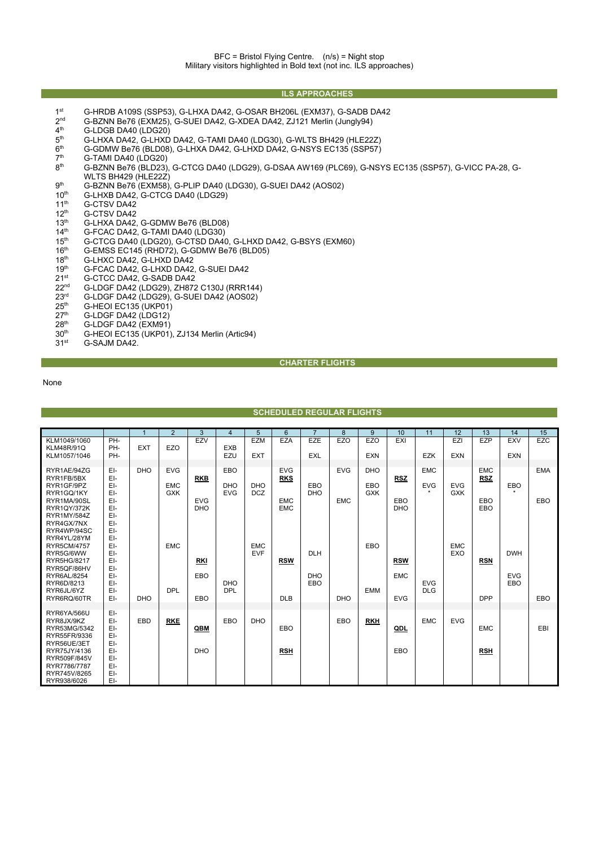## **ILS APPROACHES**

- 1st G-HRDB A109S (SSP53), G-LHXA DA42, G-OSAR BH206L (EXM37), G-SADB DA42<br>2<sup>nd</sup> G-BZNN Be76 (EXM25), G-SUEI DA42. G-XDEA DA42. ZJ121 Merlin (Junalv94)
- $2^{nd}$  G-BZNN Be76 (EXM25), G-SUEI DA42, G-XDEA DA42, ZJ121 Merlin (Jungly94)<br> $4^{th}$  G-LDGB DA40 (LDG20)
- $4<sup>th</sup>$  G-LDGB DA40 (LDG20)<br> $5<sup>th</sup>$  G-I HXA DA42 G-I HXD
- 5<sup>th</sup> G-LHXA DA42, G-LHXD DA42, G-TAMI DA40 (LDG30), G-WLTS BH429 (HLE22Z)<br>6<sup>th</sup> G-GDMW Be76 (BLD08), G-LHXA DA42, G-LHXD DA42, G-NSYS EC135 (SSP57)
- $6<sup>th</sup>$  G-GDMW Be76 (BLD08), G-LHXA DA42, G-LHXD DA42, G-NSYS EC135 (SSP57)<br>7<sup>th</sup> G-TAMI DA40 (LDG20)
- $7<sup>th</sup>$  G-TAMI DA40 (LDG20)<br>8<sup>th</sup> G-BZNN Be76 (BLD23)
- 8th G-BZNN Be76 (BLD23), G-CTCG DA40 (LDG29), G-DSAA AW169 (PLC69), G-NSYS EC135 (SSP57), G-VICC PA-28, G-WLTS BH429 (HLE22Z)
- $9<sup>th</sup>$  G-BZNN Be76 (EXM58), G-PLIP DA40 (LDG30), G-SUEI DA42 (AOS02)<br>10<sup>th</sup> G-LHXB DA42, G-CTCG DA40 (LDG29)
- 10<sup>th</sup> G-LHXB DA42, G-CTCG DA40 (LDG29)<br>11<sup>th</sup> G-CTSV DA42
- 11<sup>th</sup> G-CTSV DA42<br>12<sup>th</sup> G-CTSV DA42
- $12^{th}$  G-CTSV DA42<br> $13^{th}$  G-LHXA DA42,
- 13<sup>th</sup> G-LHXA DA42, G-GDMW Be76 (BLD08)<br>14<sup>th</sup> G-FCAC DA42, G-TAMI DA40 (LDG30)
- 14<sup>th</sup> G-FCAC DA42, G-TAMI DA40 (LDG30)<br>15<sup>th</sup> G-CTCG DA40 (LDG20), G-CTSD DA40
- 15<sup>th</sup> G-CTCG DA40 (LDG20), G-CTSD DA40, G-LHXD DA42, G-BSYS (EXM60)<br>16<sup>th</sup> G-EMSS EC145 (RHD72), G-GDMW Be76 (BLD05)
- 16<sup>th</sup> G-EMSS EC145 (RHD72), G-GDMW Be76 (BLD05)<br>18<sup>th</sup> G-LHXC DA42, G-LHXD DA42
- 18<sup>th</sup> G-LHXC DA42, G-LHXD DA42
- 19<sup>th</sup> G-FCAC DA42, G-LHXD DA42, G-SUEI DA42
- $21^{st}$  G-CTCC DA42, G-SADB DA42<br> $22^{nd}$  G-LDGF DA42 (LDG29), ZH872
- 22<sup>nd</sup> G-LDGF DA42 (LDG29), ZH872 C130J (RRR144)<br>23<sup>rd</sup> G-LDGF DA42 (LDG29), G-SUEI DA42 (AOS02)
- $23<sup>rd</sup>$  G-LDGF DA42 (LDG29), G-SUEI DA42 (AOS02)<br>25<sup>th</sup> G-HFOI FC135 (UKP01)
- $25<sup>th</sup>$  G-HEOI EC135 (UKP01)<br> $27<sup>th</sup>$  G-LDGF DA42 (LDG12)
- $27<sup>th</sup>$  G-LDGF DA42 (LDG12)<br> $28<sup>th</sup>$  G-LDGF DA42 (EXM91)
- $28th$  G-LDGF DA42 (EXM91)<br> $30th$  G-HEOI EC135 (UKP01)
- $30<sup>th</sup>$  G-HEOI EC135 (UKP01), ZJ134 Merlin (Artic94)<br> $31<sup>st</sup>$  G-SAJM DA42.
- G-SAJM DA42.

## **CHARTER FLIGHTS**

None

|                                                                                                           |                                               |            | 2                                      | 3                                      | $\overline{4}$                         | 5                        | 6                                                    | $\overline{7}$           | 8                        | 9                               | 10                              | 11                                  | 12                       | 13                                            | 14                       | 15                |
|-----------------------------------------------------------------------------------------------------------|-----------------------------------------------|------------|----------------------------------------|----------------------------------------|----------------------------------------|--------------------------|------------------------------------------------------|--------------------------|--------------------------|---------------------------------|---------------------------------|-------------------------------------|--------------------------|-----------------------------------------------|--------------------------|-------------------|
| KLM1049/1060<br><b>KLM48R/91Q</b><br>KLM1057/1046                                                         | PH-<br>PH-<br>PH-                             | <b>EXT</b> | EZO                                    | EZV                                    | <b>EXB</b><br>EZU                      | <b>EZM</b><br><b>EXT</b> | <b>EZA</b>                                           | <b>EZE</b><br><b>EXL</b> | <b>EZO</b>               | <b>EZO</b><br><b>EXN</b>        | EXI                             | <b>EZK</b>                          | EZI<br><b>EXN</b>        | EZP                                           | <b>EXV</b><br><b>EXN</b> | <b>EZC</b>        |
| RYR1AE/94ZG<br>RYR1FB/5BX<br>RYR1GF/9PZ<br>RYR1GQ/1KY<br>RYR1MA/90SL<br><b>RYR1QY/372K</b><br>RYR1MY/584Z | EI-<br>EI-<br>EI-<br>EI-<br>EI-<br>EI-<br>EI- | <b>DHO</b> | <b>EVG</b><br><b>EMC</b><br><b>GXK</b> | <b>RKB</b><br><b>EVG</b><br><b>DHO</b> | <b>EBO</b><br><b>DHO</b><br><b>EVG</b> | <b>DHO</b><br><b>DCZ</b> | <b>EVG</b><br><b>RKS</b><br><b>EMC</b><br><b>EMC</b> | EBO<br><b>DHO</b>        | <b>EVG</b><br><b>EMC</b> | <b>DHO</b><br>EBO<br><b>GXK</b> | <b>RSZ</b><br>EBO<br><b>DHO</b> | <b>EMC</b><br><b>EVG</b><br>$\star$ | <b>EVG</b><br><b>GXK</b> | <b>EMC</b><br><b>RSZ</b><br><b>EBO</b><br>EBO | EBO<br>$\star$           | <b>EMA</b><br>EBO |
| RYR4GX/7NX<br>RYR4WP/94SC<br>RYR4YL/28YM<br><b>RYR5CM/4757</b><br>RYR5G/6WW<br>RYR5HG/8217<br>RYR5QF/86HV | EI-<br>EI-<br>EI-<br>EI-<br>EI-<br>EI-<br>EI- |            | <b>EMC</b>                             | RKI                                    |                                        | <b>EMC</b><br><b>EVF</b> | <b>RSW</b>                                           | <b>DLH</b>               |                          | EBO                             | <b>RSW</b>                      |                                     | <b>EMC</b><br>EXO        | <b>RSN</b>                                    | <b>DWH</b>               |                   |
| RYR6AL/8254<br>RYR6D/8213<br>RYR6JL/6YZ<br>RYR6RQ/60TR                                                    | EI-<br>EI-<br>EI-<br>EI-                      | <b>DHO</b> | <b>DPL</b>                             | EBO<br><b>EBO</b>                      | <b>DHO</b><br><b>DPL</b>               |                          | <b>DLB</b>                                           | <b>DHO</b><br>EBO        | <b>DHO</b>               | <b>EMM</b>                      | <b>EMC</b><br><b>EVG</b>        | <b>EVG</b><br><b>DLG</b>            |                          | <b>DPP</b>                                    | <b>EVG</b><br>EBO        | EBO               |
| RYR6YA/566U<br>RYR8JX/9KZ<br>RYR53MG/5342<br>RYR55FR/9336<br>RYR56UE/3ET                                  | EI-<br>EI-<br>EI-<br>EI-<br>EI-               | EBD        | <b>RKE</b>                             | QBM                                    | EBO                                    | <b>DHO</b>               | <b>EBO</b>                                           |                          | EBO                      | <b>RKH</b>                      | QDL                             | <b>EMC</b>                          | <b>EVG</b>               | <b>EMC</b>                                    |                          | EBI               |
| RYR75JY/4136<br>RYR509F/845V<br>RYR7786/7787<br>RYR745V/8265<br>RYR938/6026                               | EI-<br>EI-<br>EI-<br>EI-<br>EI-               |            |                                        | <b>DHO</b>                             |                                        |                          | <b>RSH</b>                                           |                          |                          |                                 | EBO                             |                                     |                          | <b>RSH</b>                                    |                          |                   |

**SCHEDULED REGULAR FLIGHTS**